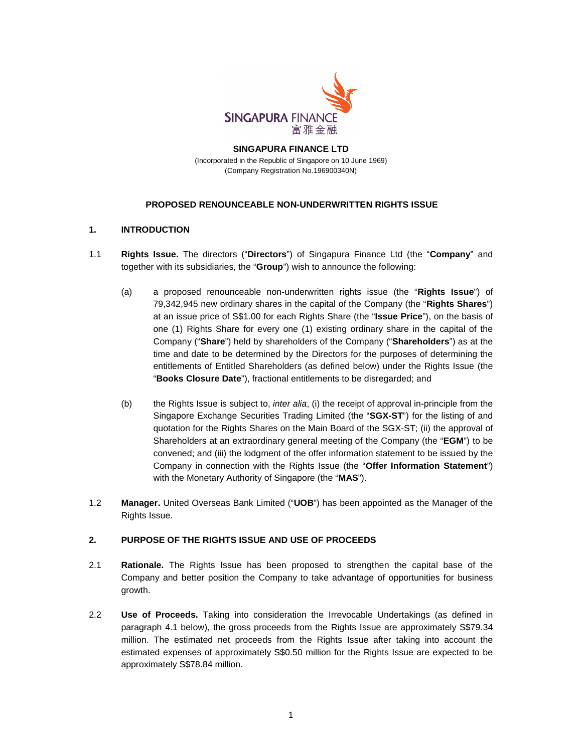

#### **SINGAPURA FINANCE LTD**  (Incorporated in the Republic of Singapore on 10 June 1969) (Company Registration No.196900340N)

#### **PROPOSED RENOUNCEABLE NON-UNDERWRITTEN RIGHTS ISSUE**

## **1. INTRODUCTION**

- 1.1 **Rights Issue.** The directors ("**Directors**") of Singapura Finance Ltd (the "**Company**" and together with its subsidiaries, the "**Group**") wish to announce the following:
	- (a) a proposed renounceable non-underwritten rights issue (the "**Rights Issue**") of 79,342,945 new ordinary shares in the capital of the Company (the "**Rights Shares**") at an issue price of S\$1.00 for each Rights Share (the "**Issue Price**"), on the basis of one (1) Rights Share for every one (1) existing ordinary share in the capital of the Company ("**Share**") held by shareholders of the Company ("**Shareholders**") as at the time and date to be determined by the Directors for the purposes of determining the entitlements of Entitled Shareholders (as defined below) under the Rights Issue (the "**Books Closure Date**"), fractional entitlements to be disregarded; and
	- (b) the Rights Issue is subject to, inter alia, (i) the receipt of approval in-principle from the Singapore Exchange Securities Trading Limited (the "**SGX-ST**") for the listing of and quotation for the Rights Shares on the Main Board of the SGX-ST; (ii) the approval of Shareholders at an extraordinary general meeting of the Company (the "**EGM**") to be convened; and (iii) the lodgment of the offer information statement to be issued by the Company in connection with the Rights Issue (the "**Offer Information Statement**") with the Monetary Authority of Singapore (the "**MAS**").
- 1.2 **Manager.** United Overseas Bank Limited ("**UOB**") has been appointed as the Manager of the Rights Issue.

#### **2. PURPOSE OF THE RIGHTS ISSUE AND USE OF PROCEEDS**

- 2.1 **Rationale.** The Rights Issue has been proposed to strengthen the capital base of the Company and better position the Company to take advantage of opportunities for business growth.
- 2.2 **Use of Proceeds.** Taking into consideration the Irrevocable Undertakings (as defined in paragraph 4.1 below), the gross proceeds from the Rights Issue are approximately S\$79.34 million. The estimated net proceeds from the Rights Issue after taking into account the estimated expenses of approximately S\$0.50 million for the Rights Issue are expected to be approximately S\$78.84 million.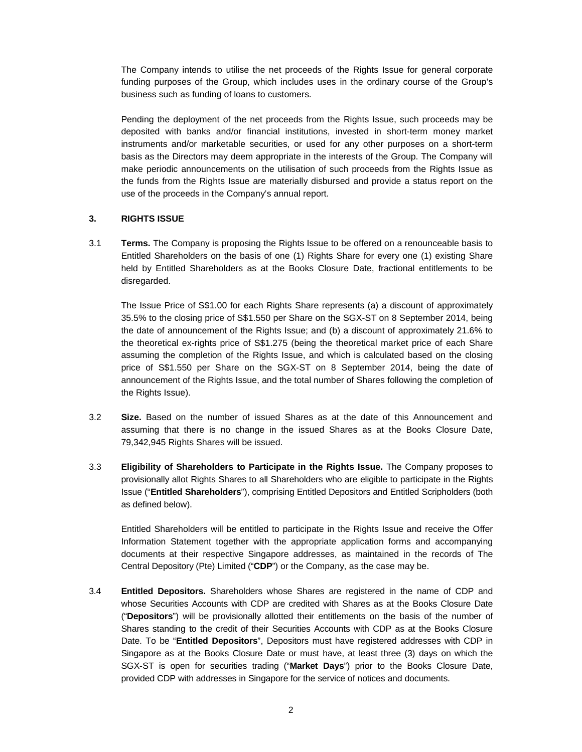The Company intends to utilise the net proceeds of the Rights Issue for general corporate funding purposes of the Group, which includes uses in the ordinary course of the Group's business such as funding of loans to customers.

Pending the deployment of the net proceeds from the Rights Issue, such proceeds may be deposited with banks and/or financial institutions, invested in short-term money market instruments and/or marketable securities, or used for any other purposes on a short-term basis as the Directors may deem appropriate in the interests of the Group. The Company will make periodic announcements on the utilisation of such proceeds from the Rights Issue as the funds from the Rights Issue are materially disbursed and provide a status report on the use of the proceeds in the Company's annual report.

#### **3. RIGHTS ISSUE**

3.1 **Terms.** The Company is proposing the Rights Issue to be offered on a renounceable basis to Entitled Shareholders on the basis of one (1) Rights Share for every one (1) existing Share held by Entitled Shareholders as at the Books Closure Date, fractional entitlements to be disregarded.

The Issue Price of S\$1.00 for each Rights Share represents (a) a discount of approximately 35.5% to the closing price of S\$1.550 per Share on the SGX-ST on 8 September 2014, being the date of announcement of the Rights Issue; and (b) a discount of approximately 21.6% to the theoretical ex-rights price of S\$1.275 (being the theoretical market price of each Share assuming the completion of the Rights Issue, and which is calculated based on the closing price of S\$1.550 per Share on the SGX-ST on 8 September 2014, being the date of announcement of the Rights Issue, and the total number of Shares following the completion of the Rights Issue).

- 3.2 **Size.** Based on the number of issued Shares as at the date of this Announcement and assuming that there is no change in the issued Shares as at the Books Closure Date, 79,342,945 Rights Shares will be issued.
- 3.3 **Eligibility of Shareholders to Participate in the Rights Issue.** The Company proposes to provisionally allot Rights Shares to all Shareholders who are eligible to participate in the Rights Issue ("**Entitled Shareholders**"), comprising Entitled Depositors and Entitled Scripholders (both as defined below).

Entitled Shareholders will be entitled to participate in the Rights Issue and receive the Offer Information Statement together with the appropriate application forms and accompanying documents at their respective Singapore addresses, as maintained in the records of The Central Depository (Pte) Limited ("**CDP**") or the Company, as the case may be.

3.4 **Entitled Depositors.** Shareholders whose Shares are registered in the name of CDP and whose Securities Accounts with CDP are credited with Shares as at the Books Closure Date ("**Depositors**") will be provisionally allotted their entitlements on the basis of the number of Shares standing to the credit of their Securities Accounts with CDP as at the Books Closure Date. To be "**Entitled Depositors**", Depositors must have registered addresses with CDP in Singapore as at the Books Closure Date or must have, at least three (3) days on which the SGX-ST is open for securities trading ("**Market Days**") prior to the Books Closure Date, provided CDP with addresses in Singapore for the service of notices and documents.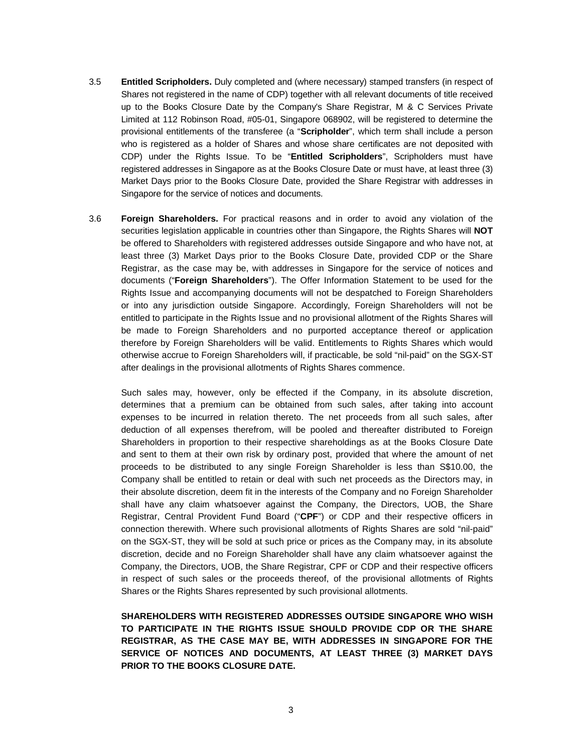- 3.5 **Entitled Scripholders.** Duly completed and (where necessary) stamped transfers (in respect of Shares not registered in the name of CDP) together with all relevant documents of title received up to the Books Closure Date by the Company's Share Registrar, M & C Services Private Limited at 112 Robinson Road, #05-01, Singapore 068902, will be registered to determine the provisional entitlements of the transferee (a "**Scripholder**", which term shall include a person who is registered as a holder of Shares and whose share certificates are not deposited with CDP) under the Rights Issue. To be "**Entitled Scripholders**", Scripholders must have registered addresses in Singapore as at the Books Closure Date or must have, at least three (3) Market Days prior to the Books Closure Date, provided the Share Registrar with addresses in Singapore for the service of notices and documents.
- 3.6 **Foreign Shareholders.** For practical reasons and in order to avoid any violation of the securities legislation applicable in countries other than Singapore, the Rights Shares will **NOT** be offered to Shareholders with registered addresses outside Singapore and who have not, at least three (3) Market Days prior to the Books Closure Date, provided CDP or the Share Registrar, as the case may be, with addresses in Singapore for the service of notices and documents ("**Foreign Shareholders**"). The Offer Information Statement to be used for the Rights Issue and accompanying documents will not be despatched to Foreign Shareholders or into any jurisdiction outside Singapore. Accordingly, Foreign Shareholders will not be entitled to participate in the Rights Issue and no provisional allotment of the Rights Shares will be made to Foreign Shareholders and no purported acceptance thereof or application therefore by Foreign Shareholders will be valid. Entitlements to Rights Shares which would otherwise accrue to Foreign Shareholders will, if practicable, be sold "nil-paid" on the SGX-ST after dealings in the provisional allotments of Rights Shares commence.

Such sales may, however, only be effected if the Company, in its absolute discretion, determines that a premium can be obtained from such sales, after taking into account expenses to be incurred in relation thereto. The net proceeds from all such sales, after deduction of all expenses therefrom, will be pooled and thereafter distributed to Foreign Shareholders in proportion to their respective shareholdings as at the Books Closure Date and sent to them at their own risk by ordinary post, provided that where the amount of net proceeds to be distributed to any single Foreign Shareholder is less than S\$10.00, the Company shall be entitled to retain or deal with such net proceeds as the Directors may, in their absolute discretion, deem fit in the interests of the Company and no Foreign Shareholder shall have any claim whatsoever against the Company, the Directors, UOB, the Share Registrar, Central Provident Fund Board ("**CPF**") or CDP and their respective officers in connection therewith. Where such provisional allotments of Rights Shares are sold "nil-paid" on the SGX-ST, they will be sold at such price or prices as the Company may, in its absolute discretion, decide and no Foreign Shareholder shall have any claim whatsoever against the Company, the Directors, UOB, the Share Registrar, CPF or CDP and their respective officers in respect of such sales or the proceeds thereof, of the provisional allotments of Rights Shares or the Rights Shares represented by such provisional allotments.

**SHAREHOLDERS WITH REGISTERED ADDRESSES OUTSIDE SINGAPORE WHO WISH TO PARTICIPATE IN THE RIGHTS ISSUE SHOULD PROVIDE CDP OR THE SHARE REGISTRAR, AS THE CASE MAY BE, WITH ADDRESSES IN SINGAPORE FOR THE SERVICE OF NOTICES AND DOCUMENTS, AT LEAST THREE (3) MARKET DAYS PRIOR TO THE BOOKS CLOSURE DATE.**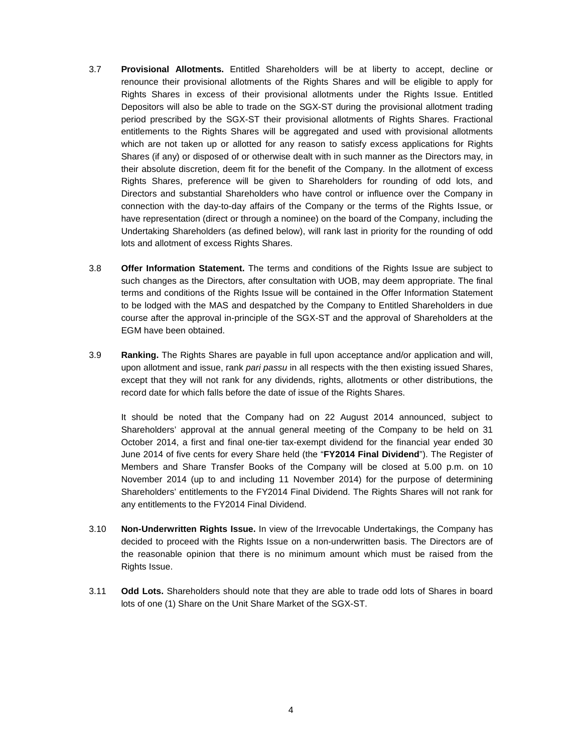- 3.7 **Provisional Allotments.** Entitled Shareholders will be at liberty to accept, decline or renounce their provisional allotments of the Rights Shares and will be eligible to apply for Rights Shares in excess of their provisional allotments under the Rights Issue. Entitled Depositors will also be able to trade on the SGX-ST during the provisional allotment trading period prescribed by the SGX-ST their provisional allotments of Rights Shares. Fractional entitlements to the Rights Shares will be aggregated and used with provisional allotments which are not taken up or allotted for any reason to satisfy excess applications for Rights Shares (if any) or disposed of or otherwise dealt with in such manner as the Directors may, in their absolute discretion, deem fit for the benefit of the Company. In the allotment of excess Rights Shares, preference will be given to Shareholders for rounding of odd lots, and Directors and substantial Shareholders who have control or influence over the Company in connection with the day-to-day affairs of the Company or the terms of the Rights Issue, or have representation (direct or through a nominee) on the board of the Company, including the Undertaking Shareholders (as defined below), will rank last in priority for the rounding of odd lots and allotment of excess Rights Shares.
- 3.8 **Offer Information Statement.** The terms and conditions of the Rights Issue are subject to such changes as the Directors, after consultation with UOB, may deem appropriate. The final terms and conditions of the Rights Issue will be contained in the Offer Information Statement to be lodged with the MAS and despatched by the Company to Entitled Shareholders in due course after the approval in-principle of the SGX-ST and the approval of Shareholders at the EGM have been obtained.
- 3.9 **Ranking.** The Rights Shares are payable in full upon acceptance and/or application and will, upon allotment and issue, rank pari passu in all respects with the then existing issued Shares, except that they will not rank for any dividends, rights, allotments or other distributions, the record date for which falls before the date of issue of the Rights Shares.

It should be noted that the Company had on 22 August 2014 announced, subject to Shareholders' approval at the annual general meeting of the Company to be held on 31 October 2014, a first and final one-tier tax-exempt dividend for the financial year ended 30 June 2014 of five cents for every Share held (the "**FY2014 Final Dividend**"). The Register of Members and Share Transfer Books of the Company will be closed at 5.00 p.m. on 10 November 2014 (up to and including 11 November 2014) for the purpose of determining Shareholders' entitlements to the FY2014 Final Dividend. The Rights Shares will not rank for any entitlements to the FY2014 Final Dividend.

- 3.10 **Non-Underwritten Rights Issue.** In view of the Irrevocable Undertakings, the Company has decided to proceed with the Rights Issue on a non-underwritten basis. The Directors are of the reasonable opinion that there is no minimum amount which must be raised from the Rights Issue.
- 3.11 **Odd Lots.** Shareholders should note that they are able to trade odd lots of Shares in board lots of one (1) Share on the Unit Share Market of the SGX-ST.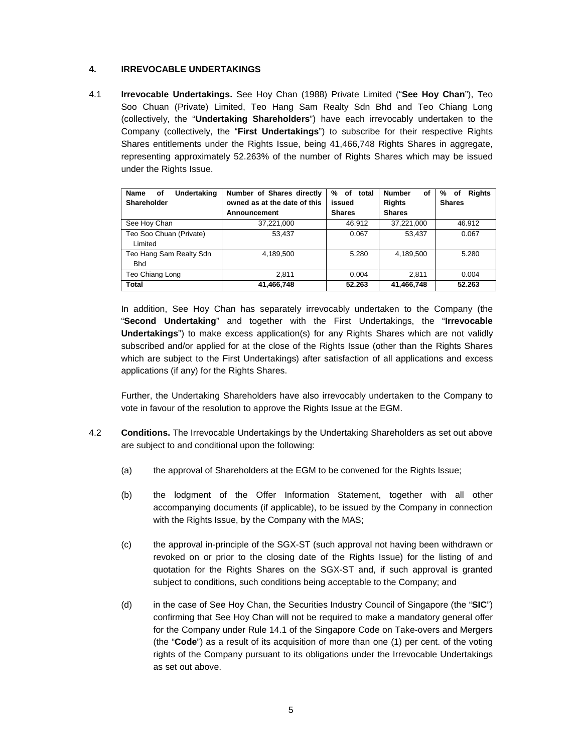### **4. IRREVOCABLE UNDERTAKINGS**

4.1 **Irrevocable Undertakings.** See Hoy Chan (1988) Private Limited ("**See Hoy Chan**"), Teo Soo Chuan (Private) Limited, Teo Hang Sam Realty Sdn Bhd and Teo Chiang Long (collectively, the "**Undertaking Shareholders**") have each irrevocably undertaken to the Company (collectively, the "**First Undertakings**") to subscribe for their respective Rights Shares entitlements under the Rights Issue, being 41,466,748 Rights Shares in aggregate, representing approximately 52.263% of the number of Rights Shares which may be issued under the Rights Issue.

| <b>Name</b><br>Undertaking<br>οf | Number of Shares directly    | of total<br>% | <b>Number</b><br>οf | <b>Rights</b><br>%<br>0f |
|----------------------------------|------------------------------|---------------|---------------------|--------------------------|
| Shareholder                      | owned as at the date of this | issued        | <b>Rights</b>       | <b>Shares</b>            |
|                                  | Announcement                 | <b>Shares</b> | <b>Shares</b>       |                          |
| See Hoy Chan                     | 37.221.000                   | 46.912        | 37.221.000          | 46.912                   |
| Teo Soo Chuan (Private)          | 53.437                       | 0.067         | 53.437              | 0.067                    |
| Limited                          |                              |               |                     |                          |
| Teo Hang Sam Realty Sdn          | 4.189.500                    | 5.280         | 4.189.500           | 5.280                    |
| <b>Bhd</b>                       |                              |               |                     |                          |
| Teo Chiang Long                  | 2.811                        | 0.004         | 2.811               | 0.004                    |
| <b>Total</b>                     | 41,466,748                   | 52.263        | 41,466,748          | 52.263                   |

In addition, See Hoy Chan has separately irrevocably undertaken to the Company (the "**Second Undertaking**" and together with the First Undertakings, the "**Irrevocable Undertakings**") to make excess application(s) for any Rights Shares which are not validly subscribed and/or applied for at the close of the Rights Issue (other than the Rights Shares which are subject to the First Undertakings) after satisfaction of all applications and excess applications (if any) for the Rights Shares.

Further, the Undertaking Shareholders have also irrevocably undertaken to the Company to vote in favour of the resolution to approve the Rights Issue at the EGM.

- 4.2 **Conditions.** The Irrevocable Undertakings by the Undertaking Shareholders as set out above are subject to and conditional upon the following:
	- (a) the approval of Shareholders at the EGM to be convened for the Rights Issue;
	- (b) the lodgment of the Offer Information Statement, together with all other accompanying documents (if applicable), to be issued by the Company in connection with the Rights Issue, by the Company with the MAS;
	- (c) the approval in-principle of the SGX-ST (such approval not having been withdrawn or revoked on or prior to the closing date of the Rights Issue) for the listing of and quotation for the Rights Shares on the SGX-ST and, if such approval is granted subject to conditions, such conditions being acceptable to the Company; and
	- (d) in the case of See Hoy Chan, the Securities Industry Council of Singapore (the "**SIC**") confirming that See Hoy Chan will not be required to make a mandatory general offer for the Company under Rule 14.1 of the Singapore Code on Take-overs and Mergers (the "**Code**") as a result of its acquisition of more than one (1) per cent. of the voting rights of the Company pursuant to its obligations under the Irrevocable Undertakings as set out above.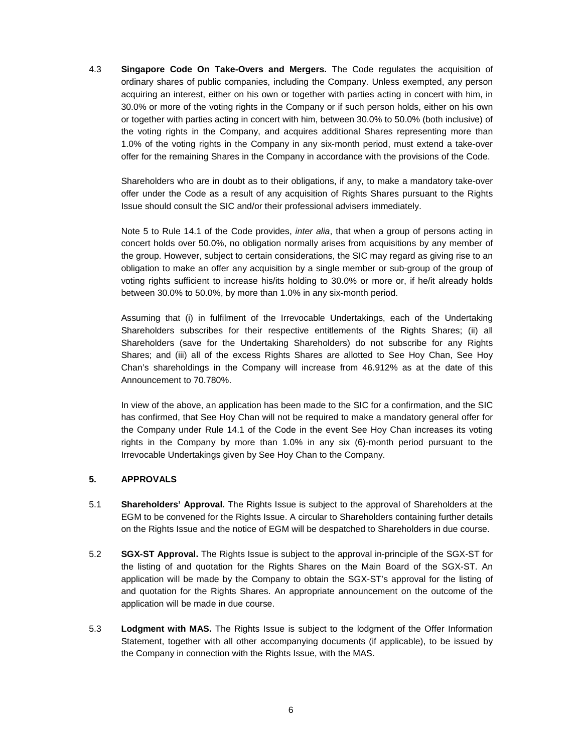4.3 **Singapore Code On Take-Overs and Mergers.** The Code regulates the acquisition of ordinary shares of public companies, including the Company. Unless exempted, any person acquiring an interest, either on his own or together with parties acting in concert with him, in 30.0% or more of the voting rights in the Company or if such person holds, either on his own or together with parties acting in concert with him, between 30.0% to 50.0% (both inclusive) of the voting rights in the Company, and acquires additional Shares representing more than 1.0% of the voting rights in the Company in any six-month period, must extend a take-over offer for the remaining Shares in the Company in accordance with the provisions of the Code.

Shareholders who are in doubt as to their obligations, if any, to make a mandatory take-over offer under the Code as a result of any acquisition of Rights Shares pursuant to the Rights Issue should consult the SIC and/or their professional advisers immediately.

Note 5 to Rule 14.1 of the Code provides, *inter alia*, that when a group of persons acting in concert holds over 50.0%, no obligation normally arises from acquisitions by any member of the group. However, subject to certain considerations, the SIC may regard as giving rise to an obligation to make an offer any acquisition by a single member or sub-group of the group of voting rights sufficient to increase his/its holding to 30.0% or more or, if he/it already holds between 30.0% to 50.0%, by more than 1.0% in any six-month period.

Assuming that (i) in fulfilment of the Irrevocable Undertakings, each of the Undertaking Shareholders subscribes for their respective entitlements of the Rights Shares; (ii) all Shareholders (save for the Undertaking Shareholders) do not subscribe for any Rights Shares; and (iii) all of the excess Rights Shares are allotted to See Hoy Chan, See Hoy Chan's shareholdings in the Company will increase from 46.912% as at the date of this Announcement to 70.780%.

In view of the above, an application has been made to the SIC for a confirmation, and the SIC has confirmed, that See Hoy Chan will not be required to make a mandatory general offer for the Company under Rule 14.1 of the Code in the event See Hoy Chan increases its voting rights in the Company by more than 1.0% in any six (6)-month period pursuant to the Irrevocable Undertakings given by See Hoy Chan to the Company.

#### **5. APPROVALS**

- 5.1 **Shareholders' Approval.** The Rights Issue is subject to the approval of Shareholders at the EGM to be convened for the Rights Issue. A circular to Shareholders containing further details on the Rights Issue and the notice of EGM will be despatched to Shareholders in due course.
- 5.2 **SGX-ST Approval.** The Rights Issue is subject to the approval in-principle of the SGX-ST for the listing of and quotation for the Rights Shares on the Main Board of the SGX-ST. An application will be made by the Company to obtain the SGX-ST's approval for the listing of and quotation for the Rights Shares. An appropriate announcement on the outcome of the application will be made in due course.
- 5.3 **Lodgment with MAS.** The Rights Issue is subject to the lodgment of the Offer Information Statement, together with all other accompanying documents (if applicable), to be issued by the Company in connection with the Rights Issue, with the MAS.